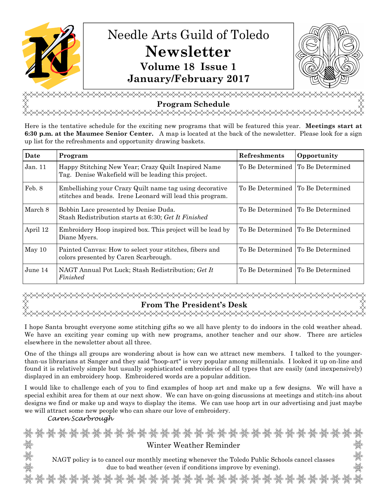

**Program Schedule**  <del></del>

Here is the tentative schedule for the exciting new programs that will be featured this year. **Meetings start at 6:30 p.m. at the Maumee Senior Center.** A map is located at the back of the newsletter. Please look for a sign up list for the refreshments and opportunity drawing baskets.

| Date     | Program                                                                                                              | <b>Refreshments</b>                 | Opportunity |
|----------|----------------------------------------------------------------------------------------------------------------------|-------------------------------------|-------------|
| Jan.11   | Happy Stitching New Year; Crazy Quilt Inspired Name<br>Tag. Denise Wakefield will be leading this project.           | To Be Determined To Be Determined   |             |
| Feb. 8   | Embellishing your Crazy Quilt name tag using decorative<br>stitches and beads. Irene Leonard will lead this program. | To Be Determined To Be Determined   |             |
| March 8  | Bobbin Lace presented by Denise Duda.<br>Stash Redistribution starts at 6:30; Get It Finished                        | To Be Determined I To Be Determined |             |
| April 12 | Embroidery Hoop inspired box. This project will be lead by<br>Diane Myers.                                           | To Be Determined To Be Determined   |             |
| May 10   | Painted Canvas: How to select your stitches, fibers and<br>colors presented by Caren Scarbrough.                     | To Be Determined To Be Determined   |             |
| June 14  | NAGT Annual Pot Luck; Stash Redistribution; Get It<br>Finished                                                       | To Be Determined To Be Determined   |             |

# **From The President's Desk**

I hope Santa brought everyone some stitching gifts so we all have plenty to do indoors in the cold weather ahead. We have an exciting year coming up with new programs, another teacher and our show. There are articles elsewhere in the newsletter about all three.

One of the things all groups are wondering about is how can we attract new members. I talked to the youngerthan-us librarians at Sanger and they said "hoop-art" is very popular among millennials. I looked it up on-line and found it is relatively simple but usually sophisticated embroideries of all types that are easily (and inexpensively) displayed in an embroidery hoop. Embroidered words are a popular addition.

I would like to challenge each of you to find examples of hoop art and make up a few designs. We will have a special exhibit area for them at our next show. We can have on-going discussions at meetings and stitch-ins about designs we find or make up and ways to display the items. We can use hoop art in our advertising and just maybe we will attract some new people who can share our love of embroidery.

Caren Scarbrough

સંયુદ્ધ અયુર્વેદુઃ અયુર્વેદુઃ અયુર્વેદુઃ અયુર્વેદુઃ અયુર્વેદુઃ અયુર્વેદુઃ અયુર્વેદુઃ અયુર્વેદુઃ અયુર્વેદુઃ અયુ<br>સંયુદ્ધિ અયુર્વેદુઃ અયુર્વેદુઃ અયુર્વેદુઃ અયુર્વેદુઃ અયુર્વેદુઃ અયુર્વેદુઃ અયુર્વેદુઃ અયુર્વેદુઃ અયુર્વેદુઃ અય Winter Weather Reminder NAGT policy is to cancel our monthly meeting whenever the Toledo Public Schools cancel classes due to bad weather (even if conditions improve by evening).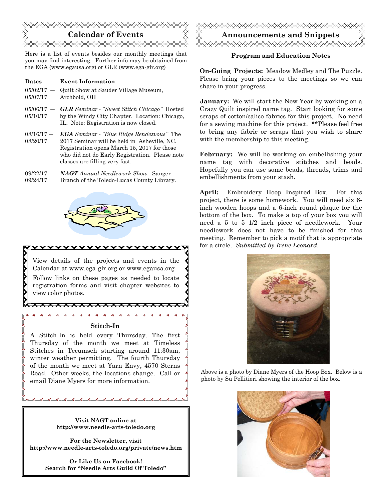

Here is a list of events besides our monthly meetings that you may find interesting. Further info may be obtained from the EGA (www.egausa.org) or GLR (www.ega-glr.org)

- **Dates Event Information**
- $05/02/17 -$ 05/07/17 Quilt Show at Sauder Village Museum, Archbold, OH
- 05/06/17 ― 05/10/17 *GLR Seminar* - *"Sweet Stitch Chicago"* Hosted by the Windy City Chapter. Location: Chicago, IL. Note: Registration is now closed.
- 08/16/17 ― 08/20/17 *EGA Seminar - "Blue Ridge Rendezvous"* The 2017 Seminar will be held in Asheville, NC. Registration opens March 15, 2017 for those who did not do Early Registration. Please note classes are filling very fast.
- 09/22/17 ― 09/24/17 *NAGT Annual Needlework Show.* Sanger Branch of the Toledo-Lucas County Library.



View details of the projects and events in the Calendar at www.ega-glr.org or www.egausa.org Follow links on these pages as needed to locate registration forms and visit chapter websites to view color photos.

#### **Stitch-In**

\*\*\*\*\*\*\*\*\*\*\*\*\*\*\*\*\* 

A Stitch-In is held every Thursday. The first Thursday of the month we meet at Timeless Stitches in Tecumseh starting around 11:30am, winter weather permitting. The fourth Thursday of the month we meet at Yarn Envy, 4570 Sterns Road. Other weeks, the locations change. Call or email Diane Myers for more information.

> **Visit NAGT online at http://www.needle-arts-toledo.org**

 $0<sup>0</sup>$ 

**For the Newsletter, visit http://www.needle-arts-toledo.org/private/news.htm** 

> **Or Like Us on Facebook! Search for "Needle Arts Guild Of Toledo"**



## **Program and Education Notes**

**On-Going Projects:** Meadow Medley and The Puzzle. Please bring your pieces to the meetings so we can share in your progress.

**January:** We will start the New Year by working on a Crazy Quilt inspired name tag. Start looking for some scraps of cotton/calico fabrics for this project. No need for a sewing machine for this project. \*\*Please feel free to bring any fabric or scraps that you wish to share with the membership to this meeting.

**February:** We will be working on embellishing your name tag with decorative stitches and beads. Hopefully you can use some beads, threads, trims and embellishments from your stash.

**April:** Embroidery Hoop Inspired Box. For this project, there is some homework. You will need six 6 inch wooden hoops and a 6-inch round plaque for the bottom of the box. To make a top of your box you will need a 5 to 5 1/2 inch piece of needlework. Your needlework does not have to be finished for this meeting. Remember to pick a motif that is appropriate for a circle. *Submitted by Irene Leonard.* 



Above is a photo by Diane Myers of the Hoop Box. Below is a photo by Su Pellitieri showing the interior of the box.

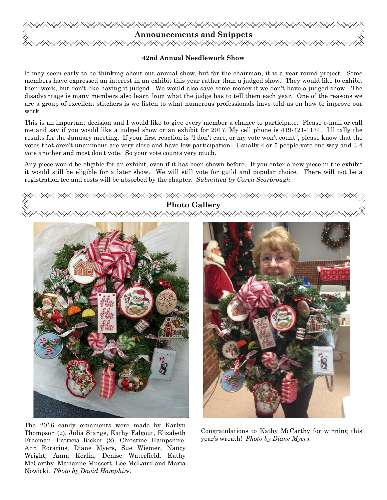

# **42nd Annual Needlework Show**

It may seem early to be thinking about our annual show, but for the chairman, it is a year-round project. Some members have expressed an interest in an exhibit this year rather than a judged show. They would like to exhibit their work, but don't like having it judged. We would also save some money if we don't have a judged show. The disadvantage is many members also learn from what the judge has to tell them each year. One of the reasons we are a group of excellent stitchers is we listen to what numerous professionals have told us on how to improve our work.

This is an important decision and I would like to give every member a chance to participate. Please e-mail or call me and say if you would like a judged show or an exhibit for 2017. My cell phone is 419-421-1134. I'll tally the results for the January meeting. If your first reaction is "I don't care, or my vote won't count", please know that the votes that aren't unanimous are very close and have low participation. Usually 4 or 5 people vote one way and 3-4 vote another and most don't vote. So your vote counts very much.

Any piece would be eligible for an exhibit, even if it has been shown before. If you enter a new piece in the exhibit it would still be eligible for a later show. We will still vote for guild and popular choice. There will not be a registration fee and costs will be absorbed by the chapter. *Submitted by Caren Scarbrough.* 



The 2016 candy ornaments were made by Karlyn Thompson (2), Julia Stange, Kathy Falgout, Elizabeth Freeman, Patricia Ricker (2), Christine Hampshire, Ann Rorarius, Diane Myers, Sue Wiemer, Nancy Wright, Anna Kerlin, Denise Waterfield, Kathy McCarthy, Marianne Mussett, Lee McLaird and Maria Nowicki. *Photo by David Hamphire.* 

Congratulations to Kathy McCarthy for winning this year's wreath! *Photo by Diane Myers.*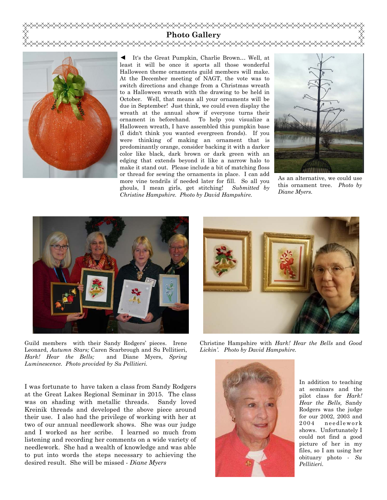



◄ It's the Great Pumpkin, Charlie Brown… Well, at least it will be once it sports all those wonderful Halloween theme ornaments guild members will make. At the December meeting of NAGT, the vote was to switch directions and change from a Christmas wreath to a Halloween wreath with the drawing to be held in October. Well, that means all your ornaments will be due in September! Just think, we could even display the wreath at the annual show if everyone turns their ornament in beforehand. To help you visualize a Halloween wreath, I have assembled this pumpkin base (I didn't think you wanted evergreen fronds). If you were thinking of making an ornament that is predominantly orange, consider backing it with a darker color like black, dark brown or dark green with an edging that extends beyond it like a narrow halo to make it stand out. Please include a bit of matching floss or thread for sewing the ornaments in place. I can add more vine tendrils if needed later for fill. So all you ghouls, I mean girls, get stitching! *Submitted by Christine Hampshire. Photo by David Hampshire.* 



As an alternative, we could use this ornament tree. *Photo by Diane Myers.* 



Guild members with their Sandy Rodgers' pieces. Irene Leonard, *Autumn Stars;* Caren Scarbrough and Su Pellitieri, *Hark! Hear the Bells;* and Diane Myers, *Spring Luminescence. Photo provided by Su Pellitieri.* 

I was fortunate to have taken a class from Sandy Rodgers at the Great Lakes Regional Seminar in 2015. The class was on shading with metallic threads. Sandy loved Kreinik threads and developed the above piece around their use. I also had the privilege of working with her at two of our annual needlework shows. She was our judge and I worked as her scribe. I learned so much from listening and recording her comments on a wide variety of needlework. She had a wealth of knowledge and was able to put into words the steps necessary to achieving the desired result. She will be missed - *Diane Myers* 



Christine Hampshire with *Hark! Hear the Bells* and *Good Lickin'. Photo by David Hampshire.* 



In addition to teaching at seminars and the pilot class for *Hark! Hear the Bells,* Sandy Rodgers was the judge for our 2002, 2003 and 2004 needlework shows. Unfortunately I could not find a good picture of her in my files, so I am using her obituary photo - *Su Pellitieri*.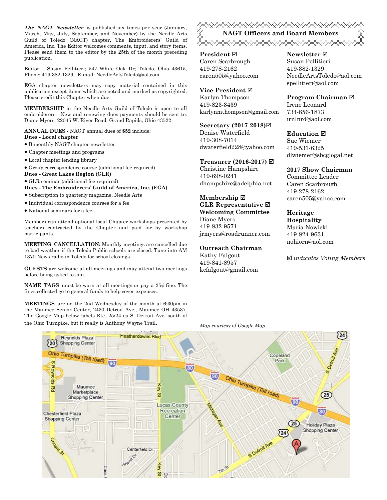*The NAGT Newsletter* is published six times per year (January, March, May, July, September, and November) by the Needle Arts Guild of Toledo (NAGT) chapter, The Embroiderers' Guild of America, Inc. The Editor welcomes comments, input, and story items. Please send them to the editor by the 25th of the month preceding publication.

Editor: Susan Pellitieri; 547 White Oak Dr; Toledo, Ohio 43615, Phone: 419-382-1329, E-mail: NeedleArtsToledo@aol.com

EGA chapter newsletters may copy material contained in this publication except items which are noted and marked as copyrighted. Please credit this Chapter when due.

**MEMBERSHIP** in the Needle Arts Guild of Toledo is open to all embroiderers. New and renewing dues payments should be sent to: Diane Myers, 22045 W. River Road, Grand Rapids, Ohio 43522

**ANNUAL DUES** - NAGT annual dues of **\$52** include: **Dues - Local chapter** 

- Bimonthly NAGT chapter newsletter
- Chapter meetings and programs
- Local chapter lending library
- Group correspondence course (additional fee required)
- **Dues Great Lakes Region (GLR)**
- GLR seminar (additional fee required) **Dues - The Embroiderers' Guild of America, Inc. (EGA)**
- Subscription to quarterly magazine, Needle Arts
- Individual correspondence courses for a fee
- National seminars for a fee

Members can attend optional local Chapter workshops presented by teachers contracted by the Chapter and paid for by workshop participants.

**MEETING CANCELLATION:** Monthly meetings are cancelled due to bad weather if the Toledo Public schools are closed. Tune into AM 1370 News radio in Toledo for school closings.

**GUESTS** are welcome at all meetings and may attend two meetings before being asked to join.

**NAME TAGS** must be worn at all meetings or pay a 25¢ fine. The fines collected go to general funds to help cover expenses.

**MEETINGS** are on the 2nd Wednesday of the month at 6:30pm in the Maumee Senior Center, 2430 Detroit Ave., Maumee OH 43537. The Google Map below labels Rte. 25/24 as S. Detroit Ave. south of the Ohio Turnpike, but it really is Anthony Wayne Trail. *Map courtesy of Google Map.* 

<del></del> **NAGT Officers and Board Members**  <del></del>

**President** Caren Scarbrough 419-278-2162 caren505@yahoo.com

**Vice-President** Karlyn Thompson 419-823-3439 karlynmthompson@gmail.com

**Secretary (2017-2018)** Denise Waterfield 419-308-7014 dwaterfield228@yahoo.com

**Treasurer (2016-2017)** 

Christine Hampshire 419-698-0241 dhampshire@adelphia.net

**Membership GLR Representative Welcoming Committee**  Diane Myers 419-832-9571

jrmyers@roadrunner.com

#### **Outreach Chairman**

Kathy Falgout 419-841-8957 kcfalgout@gmail.com **Newsletter**  Susan Pellitieri 419-382-1329 NeedleArtsToledo@aol.com spellitieri@aol.com

**Program Chairman** 

Irene Leonard 734-856-1873 irnlnrd@aol.com

**Education**  Sue Wiemer 419-531-6325 dlwiemer@sbcglogal.net

**2017 Show Chairman** 

Committee Leader Caren Scarbrough 419-278-2162 caren505@yahoo.com

**Heritage Hospitality**  Maria Nowicki 419-824-9631 nohiorn@aol.com

*indicates Voting Members*